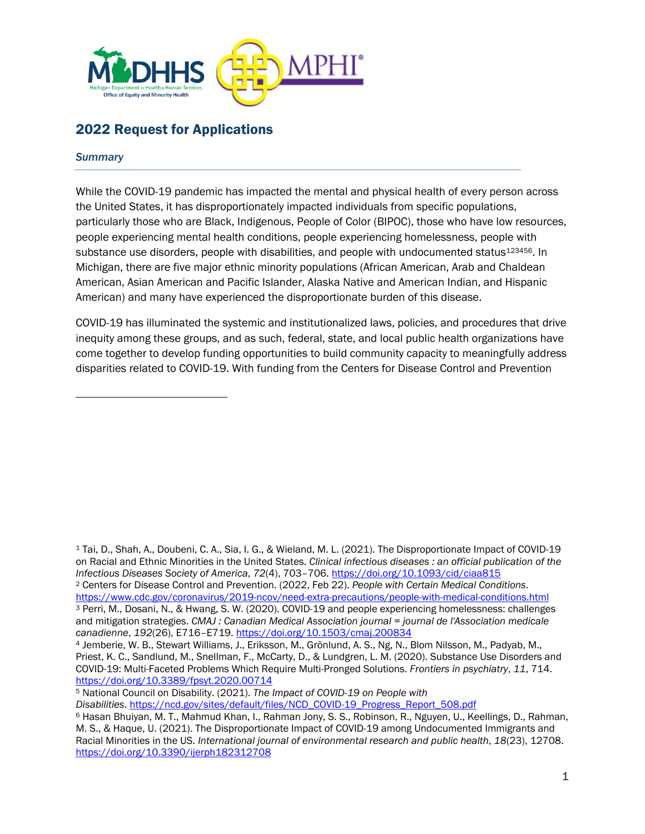

# 2022 Request for Applications

#### *Summary*

While the COVID-19 pandemic has impacted the mental and physical health of every person across the United States, it has disproportionately impacted individuals from specific populations, particularly those who are Black, Indigenous, People of Color (BIPOC), those who have low resources, people experiencing mental health conditions, people experiencing homelessness, people with substance use disorders, people with disabilities, and people with undocumented status<sup>123456</sup>. In Michigan, there are five major ethnic minority populations (African American, Arab and Chaldean American, Asian American and Pacific Islander, Alaska Native and American Indian, and Hispanic American) and many have experienced the disproportionate burden of this disease.

COVID-19 has illuminated the systemic and institutionalized laws, policies, and procedures that drive inequity among these groups, and as such, federal, state, and local public health organizations have come together to develop funding opportunities to build community capacity to meaningfully address disparities related to COVID-19. With funding from the Centers for Disease Control and Prevention

<sup>1</sup> Tai, D., Shah, A., Doubeni, C. A., Sia, I. G., & Wieland, M. L. (2021). The Disproportionate Impact of COVID-19 on Racial and Ethnic Minorities in the United States. *Clinical infectious diseases : an official publication of the Infectious Diseases Society of America*, *72*(4), 703–706.<https://doi.org/10.1093/cid/ciaa815> <sup>2</sup> Centers for Disease Control and Prevention. (2022, Feb 22). *People with Certain Medical Conditions*. <https://www.cdc.gov/coronavirus/2019-ncov/need-extra-precautions/people-with-medical-conditions.html>

<sup>3</sup> Perri, M., Dosani, N., & Hwang, S. W. (2020). COVID-19 and people experiencing homelessness: challenges and mitigation strategies. *CMAJ : Canadian Medical Association journal = journal de l'Association medicale canadienne*, *192*(26), E716–E719.<https://doi.org/10.1503/cmaj.200834>

<sup>4</sup> Jemberie, W. B., Stewart Williams, J., Eriksson, M., Grönlund, A. S., Ng, N., Blom Nilsson, M., Padyab, M., Priest, K. C., Sandlund, M., Snellman, F., McCarty, D., & Lundgren, L. M. (2020). Substance Use Disorders and COVID-19: Multi-Faceted Problems Which Require Multi-Pronged Solutions. *Frontiers in psychiatry*, *11*, 714. <https://doi.org/10.3389/fpsyt.2020.00714>

<sup>5</sup> National Council on Disability. (2021). *The Impact of COVID-19 on People with* 

*Disabilities*. [https://ncd.gov/sites/default/files/NCD\\_COVID-19\\_Progress\\_Report\\_508.pdf](https://ncd.gov/sites/default/files/NCD_COVID-19_Progress_Report_508.pdf)

<sup>6</sup> Hasan Bhuiyan, M. T., Mahmud Khan, I., Rahman Jony, S. S., Robinson, R., Nguyen, U., Keellings, D., Rahman, M. S., & Haque, U. (2021). The Disproportionate Impact of COVID-19 among Undocumented Immigrants and Racial Minorities in the US. *International journal of environmental research and public health*, *18*(23), 12708. <https://doi.org/10.3390/ijerph182312708>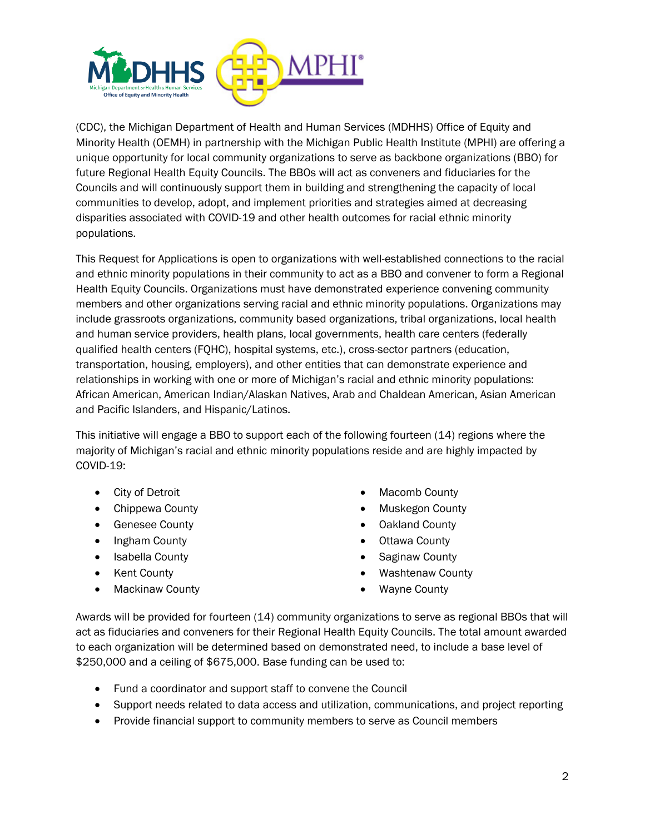

(CDC), the Michigan Department of Health and Human Services (MDHHS) Office of Equity and Minority Health (OEMH) in partnership with the Michigan Public Health Institute (MPHI) are offering a unique opportunity for local community organizations to serve as backbone organizations (BBO) for future Regional Health Equity Councils. The BBOs will act as conveners and fiduciaries for the Councils and will continuously support them in building and strengthening the capacity of local communities to develop, adopt, and implement priorities and strategies aimed at decreasing disparities associated with COVID-19 and other health outcomes for racial ethnic minority populations.

This Request for Applications is open to organizations with well-established connections to the racial and ethnic minority populations in their community to act as a BBO and convener to form a Regional Health Equity Councils. Organizations must have demonstrated experience convening community members and other organizations serving racial and ethnic minority populations. Organizations may include grassroots organizations, community based organizations, tribal organizations, local health and human service providers, health plans, local governments, health care centers (federally qualified health centers (FQHC), hospital systems, etc.), cross-sector partners (education, transportation, housing, employers), and other entities that can demonstrate experience and relationships in working with one or more of Michigan's racial and ethnic minority populations: African American, American Indian/Alaskan Natives, Arab and Chaldean American, Asian American and Pacific Islanders, and Hispanic/Latinos.

This initiative will engage a BBO to support each of the following fourteen (14) regions where the majority of Michigan's racial and ethnic minority populations reside and are highly impacted by COVID-19:

- City of Detroit
- Chippewa County
- Genesee County
- Ingham County
- Isabella County
- Kent County
- Mackinaw County
- Macomb County
- Muskegon County
- Oakland County
- Ottawa County
- Saginaw County
- Washtenaw County
- Wayne County

Awards will be provided for fourteen (14) community organizations to serve as regional BBOs that will act as fiduciaries and conveners for their Regional Health Equity Councils. The total amount awarded to each organization will be determined based on demonstrated need, to include a base level of \$250,000 and a ceiling of \$675,000. Base funding can be used to:

- Fund a coordinator and support staff to convene the Council
- Support needs related to data access and utilization, communications, and project reporting
- Provide financial support to community members to serve as Council members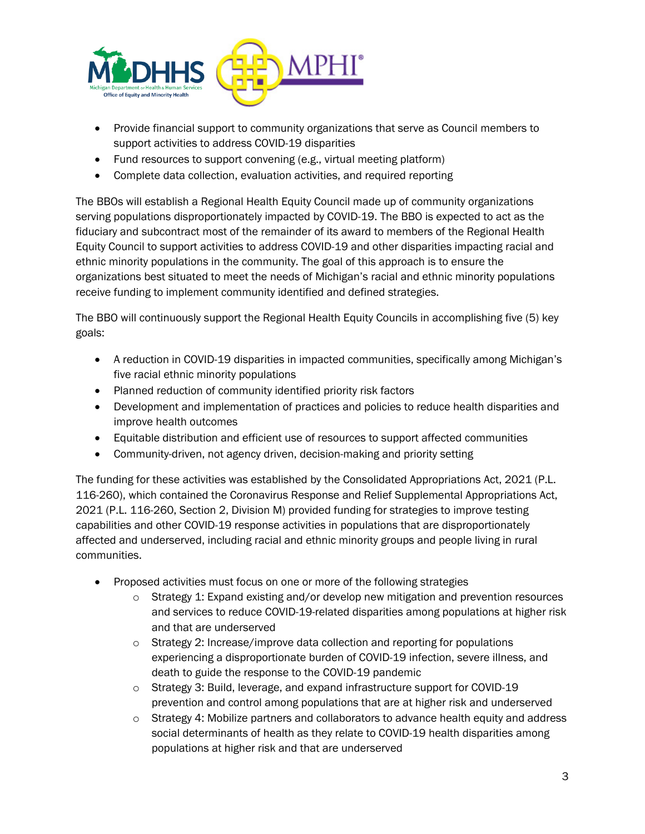

- Provide financial support to community organizations that serve as Council members to support activities to address COVID-19 disparities
- Fund resources to support convening (e.g., virtual meeting platform)
- Complete data collection, evaluation activities, and required reporting

The BBOs will establish a Regional Health Equity Council made up of community organizations serving populations disproportionately impacted by COVID-19. The BBO is expected to act as the fiduciary and subcontract most of the remainder of its award to members of the Regional Health Equity Council to support activities to address COVID-19 and other disparities impacting racial and ethnic minority populations in the community. The goal of this approach is to ensure the organizations best situated to meet the needs of Michigan's racial and ethnic minority populations receive funding to implement community identified and defined strategies.

The BBO will continuously support the Regional Health Equity Councils in accomplishing five (5) key goals:

- A reduction in COVID-19 disparities in impacted communities, specifically among Michigan's five racial ethnic minority populations
- Planned reduction of community identified priority risk factors
- Development and implementation of practices and policies to reduce health disparities and improve health outcomes
- Equitable distribution and efficient use of resources to support affected communities
- Community-driven, not agency driven, decision-making and priority setting

The funding for these activities was established by the Consolidated Appropriations Act, 2021 (P.L. 116-260), which contained the Coronavirus Response and Relief Supplemental Appropriations Act, 2021 (P.L. 116-260, Section 2, Division M) provided funding for strategies to improve testing capabilities and other COVID-19 response activities in populations that are disproportionately affected and underserved, including racial and ethnic minority groups and people living in rural communities.

- Proposed activities must focus on one or more of the following strategies
	- $\circ$  Strategy 1: Expand existing and/or develop new mitigation and prevention resources and services to reduce COVID-19-related disparities among populations at higher risk and that are underserved
	- $\circ$  Strategy 2: Increase/improve data collection and reporting for populations experiencing a disproportionate burden of COVID-19 infection, severe illness, and death to guide the response to the COVID-19 pandemic
	- o Strategy 3: Build, leverage, and expand infrastructure support for COVID-19 prevention and control among populations that are at higher risk and underserved
	- o Strategy 4: Mobilize partners and collaborators to advance health equity and address social determinants of health as they relate to COVID-19 health disparities among populations at higher risk and that are underserved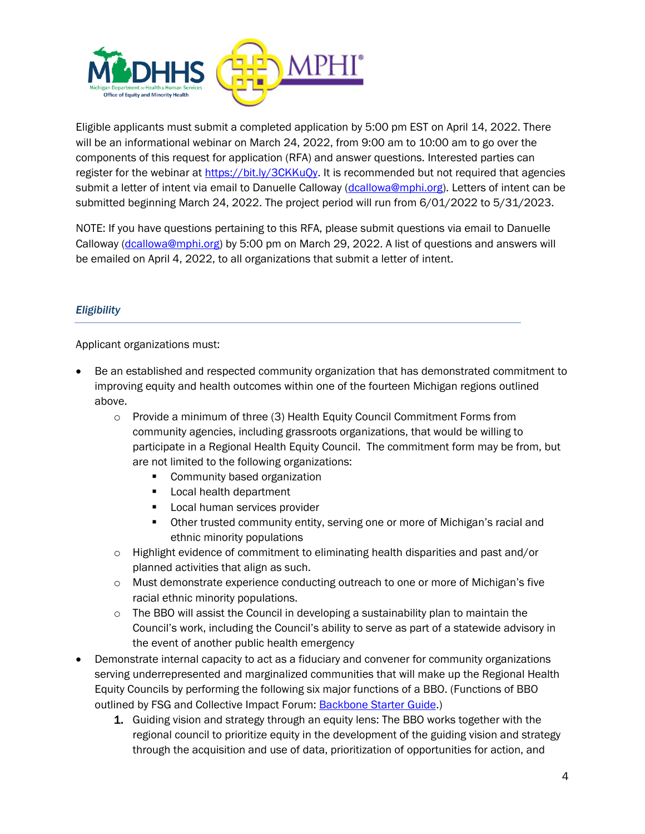

Eligible applicants must submit a completed application by 5:00 pm EST on April 14, 2022. There will be an informational webinar on March 24, 2022, from 9:00 am to 10:00 am to go over the components of this request for application (RFA) and answer questions. Interested parties can register for the webinar at [https://bit.ly/3CKKuQy.](https://bit.ly/3CKKuQy) It is recommended but not required that agencies submit a letter of intent via email to Danuelle Calloway [\(dcallowa@mphi.org\)](mailto:dcallowa@mphi.org). Letters of intent can be submitted beginning March 24, 2022. The project period will run from 6/01/2022 to 5/31/2023.

NOTE: If you have questions pertaining to this RFA, please submit questions via email to Danuelle Calloway [\(dcallowa@mphi.org\)](mailto:dcallowa@mphi.org) by 5:00 pm on March 29, 2022. A list of questions and answers will be emailed on April 4, 2022, to all organizations that submit a letter of intent.

## *Eligibility*

Applicant organizations must:

- Be an established and respected community organization that has demonstrated commitment to improving equity and health outcomes within one of the fourteen Michigan regions outlined above.
	- o Provide a minimum of three (3) Health Equity Council Commitment Forms from community agencies, including grassroots organizations, that would be willing to participate in a Regional Health Equity Council. The commitment form may be from, but are not limited to the following organizations:
		- Community based organization
		- Local health department
		- Local human services provider
		- **•** Other trusted community entity, serving one or more of Michigan's racial and ethnic minority populations
	- o Highlight evidence of commitment to eliminating health disparities and past and/or planned activities that align as such.
	- $\circ$  Must demonstrate experience conducting outreach to one or more of Michigan's five racial ethnic minority populations.
	- $\circ$  The BBO will assist the Council in developing a sustainability plan to maintain the Council's work, including the Council's ability to serve as part of a statewide advisory in the event of another public health emergency
- Demonstrate internal capacity to act as a fiduciary and convener for community organizations serving underrepresented and marginalized communities that will make up the Regional Health Equity Councils by performing the following six major functions of a BBO. (Functions of BBO outlined by FSG and Collective Impact Forum: [Backbone Starter Guide.](https://www.collectiveimpactforum.org/resources/backbone-starter-guide-summary-major-resources-about-backbone#:~:text=The%20Backbone%20Starter%20Guide%20is,The%20backbone))
	- 1. Guiding vision and strategy through an equity lens: The BBO works together with the regional council to prioritize equity in the development of the guiding vision and strategy through the acquisition and use of data, prioritization of opportunities for action, and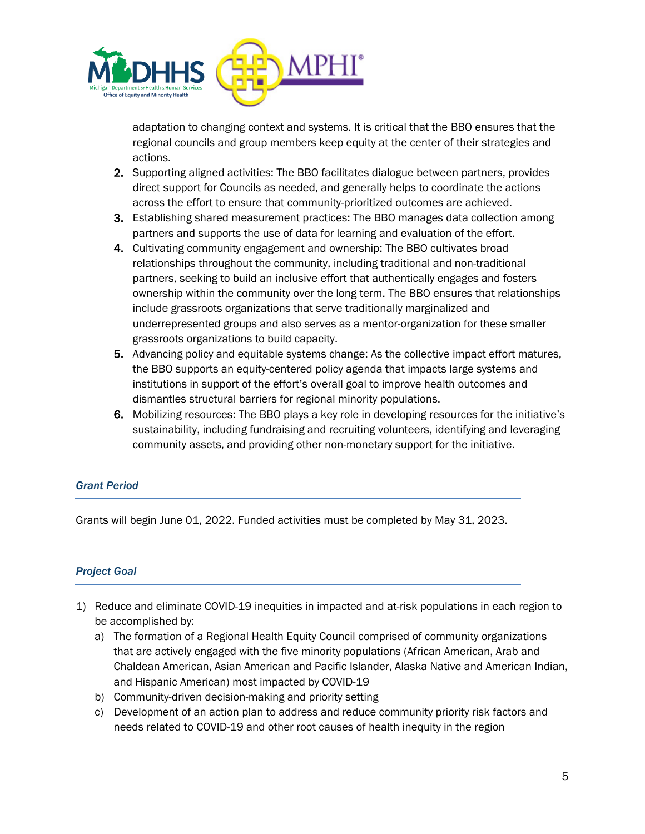

adaptation to changing context and systems. It is critical that the BBO ensures that the regional councils and group members keep equity at the center of their strategies and actions.

- 2. Supporting aligned activities: The BBO facilitates dialogue between partners, provides direct support for Councils as needed, and generally helps to coordinate the actions across the effort to ensure that community-prioritized outcomes are achieved.
- 3. Establishing shared measurement practices: The BBO manages data collection among partners and supports the use of data for learning and evaluation of the effort.
- 4. Cultivating community engagement and ownership: The BBO cultivates broad relationships throughout the community, including traditional and non-traditional partners, seeking to build an inclusive effort that authentically engages and fosters ownership within the community over the long term. The BBO ensures that relationships include grassroots organizations that serve traditionally marginalized and underrepresented groups and also serves as a mentor-organization for these smaller grassroots organizations to build capacity.
- 5. Advancing policy and equitable systems change: As the collective impact effort matures, the BBO supports an equity-centered policy agenda that impacts large systems and institutions in support of the effort's overall goal to improve health outcomes and dismantles structural barriers for regional minority populations.
- 6. Mobilizing resources: The BBO plays a key role in developing resources for the initiative's sustainability, including fundraising and recruiting volunteers, identifying and leveraging community assets, and providing other non-monetary support for the initiative.

# *Grant Period*

Grants will begin June 01, 2022. Funded activities must be completed by May 31, 2023.

## *Project Goal*

- 1) Reduce and eliminate COVID-19 inequities in impacted and at-risk populations in each region to be accomplished by:
	- a) The formation of a Regional Health Equity Council comprised of community organizations that are actively engaged with the five minority populations (African American, Arab and Chaldean American, Asian American and Pacific Islander, Alaska Native and American Indian, and Hispanic American) most impacted by COVID-19
	- b) Community-driven decision-making and priority setting
	- c) Development of an action plan to address and reduce community priority risk factors and needs related to COVID-19 and other root causes of health inequity in the region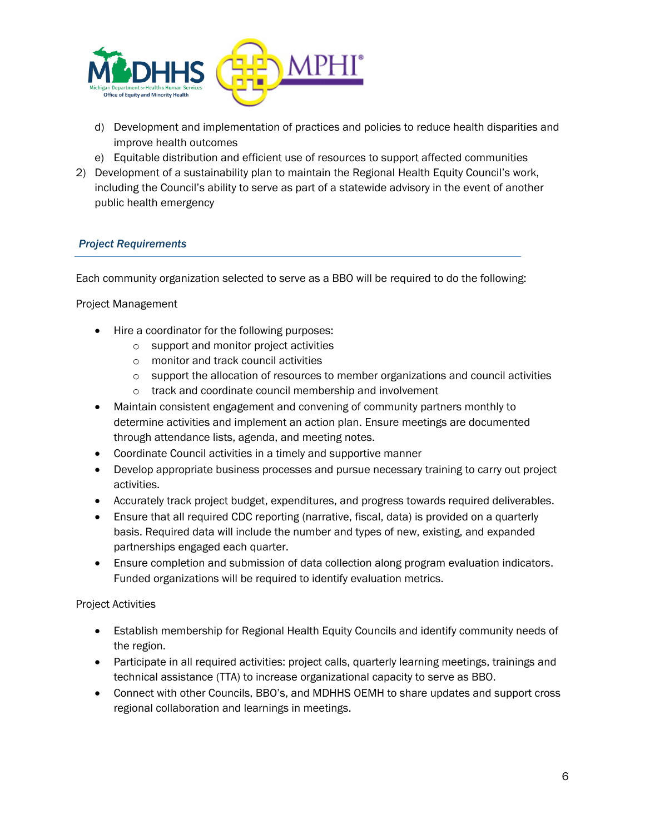

- d) Development and implementation of practices and policies to reduce health disparities and improve health outcomes
- e) Equitable distribution and efficient use of resources to support affected communities
- 2) Development of a sustainability plan to maintain the Regional Health Equity Council's work, including the Council's ability to serve as part of a statewide advisory in the event of another public health emergency

## *Project Requirements*

Each community organization selected to serve as a BBO will be required to do the following:

#### Project Management

- Hire a coordinator for the following purposes:
	- o support and monitor project activities
	- o monitor and track council activities
	- o support the allocation of resources to member organizations and council activities
	- o track and coordinate council membership and involvement
- Maintain consistent engagement and convening of community partners monthly to determine activities and implement an action plan. Ensure meetings are documented through attendance lists, agenda, and meeting notes.
- Coordinate Council activities in a timely and supportive manner
- Develop appropriate business processes and pursue necessary training to carry out project activities.
- Accurately track project budget, expenditures, and progress towards required deliverables.
- Ensure that all required CDC reporting (narrative, fiscal, data) is provided on a quarterly basis. Required data will include the number and types of new, existing, and expanded partnerships engaged each quarter.
- Ensure completion and submission of data collection along program evaluation indicators. Funded organizations will be required to identify evaluation metrics.

#### Project Activities

- Establish membership for Regional Health Equity Councils and identify community needs of the region.
- Participate in all required activities: project calls, quarterly learning meetings, trainings and technical assistance (TTA) to increase organizational capacity to serve as BBO.
- Connect with other Councils, BBO's, and MDHHS OEMH to share updates and support cross regional collaboration and learnings in meetings.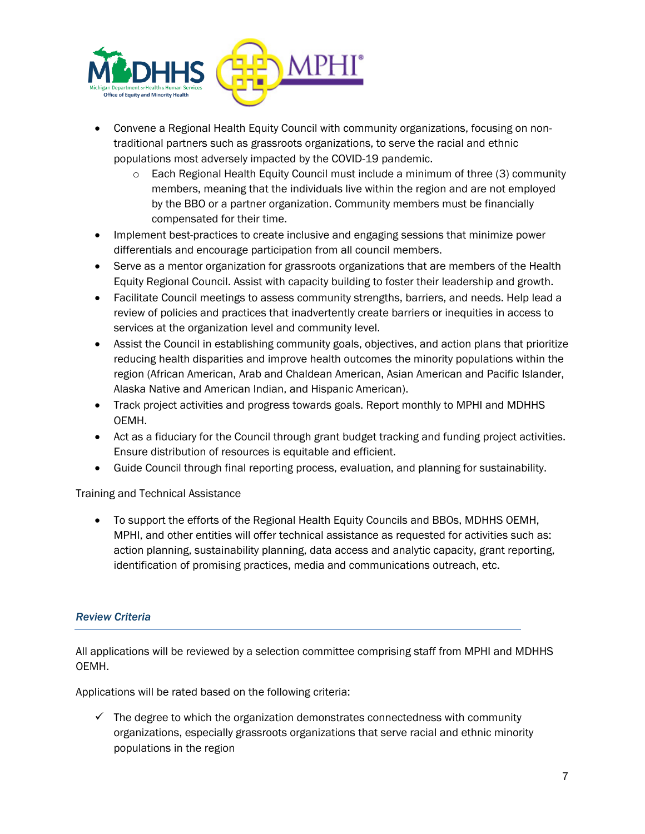

- Convene a Regional Health Equity Council with community organizations, focusing on nontraditional partners such as grassroots organizations, to serve the racial and ethnic populations most adversely impacted by the COVID-19 pandemic.
	- o Each Regional Health Equity Council must include a minimum of three (3) community members, meaning that the individuals live within the region and are not employed by the BBO or a partner organization. Community members must be financially compensated for their time.
- Implement best-practices to create inclusive and engaging sessions that minimize power differentials and encourage participation from all council members.
- Serve as a mentor organization for grassroots organizations that are members of the Health Equity Regional Council. Assist with capacity building to foster their leadership and growth.
- Facilitate Council meetings to assess community strengths, barriers, and needs. Help lead a review of policies and practices that inadvertently create barriers or inequities in access to services at the organization level and community level.
- Assist the Council in establishing community goals, objectives, and action plans that prioritize reducing health disparities and improve health outcomes the minority populations within the region (African American, Arab and Chaldean American, Asian American and Pacific Islander, Alaska Native and American Indian, and Hispanic American).
- Track project activities and progress towards goals. Report monthly to MPHI and MDHHS OEMH.
- Act as a fiduciary for the Council through grant budget tracking and funding project activities. Ensure distribution of resources is equitable and efficient.
- Guide Council through final reporting process, evaluation, and planning for sustainability.

## Training and Technical Assistance

• To support the efforts of the Regional Health Equity Councils and BBOs, MDHHS OEMH, MPHI, and other entities will offer technical assistance as requested for activities such as: action planning, sustainability planning, data access and analytic capacity, grant reporting, identification of promising practices, media and communications outreach, etc.

## *Review Criteria*

All applications will be reviewed by a selection committee comprising staff from MPHI and MDHHS OEMH.

Applications will be rated based on the following criteria:

 $\checkmark$  The degree to which the organization demonstrates connectedness with community organizations, especially grassroots organizations that serve racial and ethnic minority populations in the region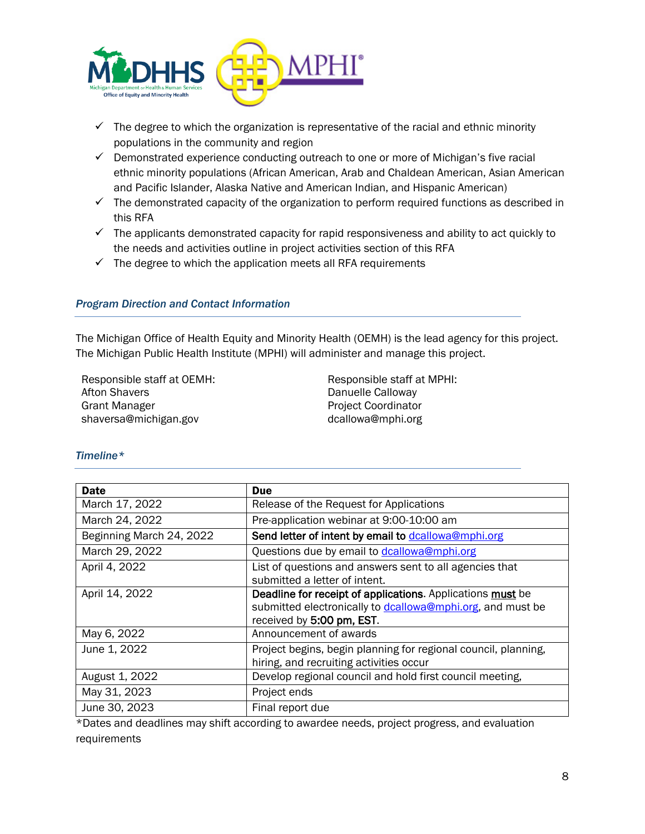

- $\checkmark$  The degree to which the organization is representative of the racial and ethnic minority populations in the community and region
- $\checkmark$  Demonstrated experience conducting outreach to one or more of Michigan's five racial ethnic minority populations (African American, Arab and Chaldean American, Asian American and Pacific Islander, Alaska Native and American Indian, and Hispanic American)
- $\checkmark$  The demonstrated capacity of the organization to perform required functions as described in this RFA
- $\checkmark$  The applicants demonstrated capacity for rapid responsiveness and ability to act quickly to the needs and activities outline in project activities section of this RFA
- $\checkmark$  The degree to which the application meets all RFA requirements

### *Program Direction and Contact Information*

The Michigan Office of Health Equity and Minority Health (OEMH) is the lead agency for this project. The Michigan Public Health Institute (MPHI) will administer and manage this project.

Responsible staff at OEMH: Afton Shavers Grant Manager shaversa@michigan.gov

Responsible staff at MPHI: Danuelle Calloway Project Coordinator dcallowa@mphi.org

#### *Timeline\**

| <b>Date</b>              | <b>Due</b>                                                                                                                                            |
|--------------------------|-------------------------------------------------------------------------------------------------------------------------------------------------------|
| March 17, 2022           | Release of the Request for Applications                                                                                                               |
| March 24, 2022           | Pre-application webinar at 9:00-10:00 am                                                                                                              |
| Beginning March 24, 2022 | Send letter of intent by email to dcallowa@mphi.org                                                                                                   |
| March 29, 2022           | Questions due by email to dcallowa@mphi.org                                                                                                           |
| April 4, 2022            | List of questions and answers sent to all agencies that<br>submitted a letter of intent.                                                              |
| April 14, 2022           | Deadline for receipt of applications. Applications must be<br>submitted electronically to dcallowa@mphi.org, and must be<br>received by 5:00 pm, EST. |
| May 6, 2022              | Announcement of awards                                                                                                                                |
| June 1, 2022             | Project begins, begin planning for regional council, planning,<br>hiring, and recruiting activities occur                                             |
| August 1, 2022           | Develop regional council and hold first council meeting,                                                                                              |
| May 31, 2023             | Project ends                                                                                                                                          |
| June 30, 2023            | Final report due                                                                                                                                      |

\*Dates and deadlines may shift according to awardee needs, project progress, and evaluation requirements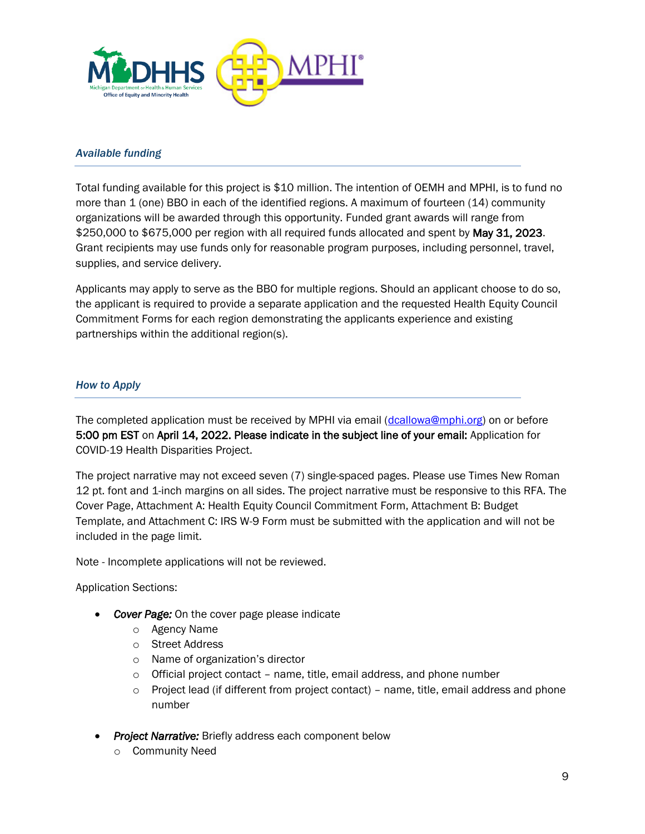

#### *Available funding*

Total funding available for this project is \$10 million. The intention of OEMH and MPHI, is to fund no more than 1 (one) BBO in each of the identified regions. A maximum of fourteen (14) community organizations will be awarded through this opportunity. Funded grant awards will range from \$250,000 to \$675,000 per region with all required funds allocated and spent by May 31, 2023. Grant recipients may use funds only for reasonable program purposes, including personnel, travel, supplies, and service delivery.

Applicants may apply to serve as the BBO for multiple regions. Should an applicant choose to do so, the applicant is required to provide a separate application and the requested Health Equity Council Commitment Forms for each region demonstrating the applicants experience and existing partnerships within the additional region(s).

### *How to Apply*

The completed application must be received by MPHI via email [\(dcallowa@mphi.org\)](mailto:dcallowa@mphi.org) on or before 5:00 pm EST on April 14, 2022. Please indicate in the subject line of your email: Application for COVID-19 Health Disparities Project.

The project narrative may not exceed seven (7) single-spaced pages. Please use Times New Roman 12 pt. font and 1-inch margins on all sides. The project narrative must be responsive to this RFA. The Cover Page, Attachment A: Health Equity Council Commitment Form, Attachment B: Budget Template, and Attachment C: IRS W-9 Form must be submitted with the application and will not be included in the page limit.

Note - Incomplete applications will not be reviewed.

Application Sections:

- *Cover Page:* On the cover page please indicate
	- o Agency Name
	- o Street Address
	- o Name of organization's director
	- $\circ$  Official project contact name, title, email address, and phone number
	- $\circ$  Project lead (if different from project contact) name, title, email address and phone number
- *Project Narrative:* Briefly address each component below
	- o Community Need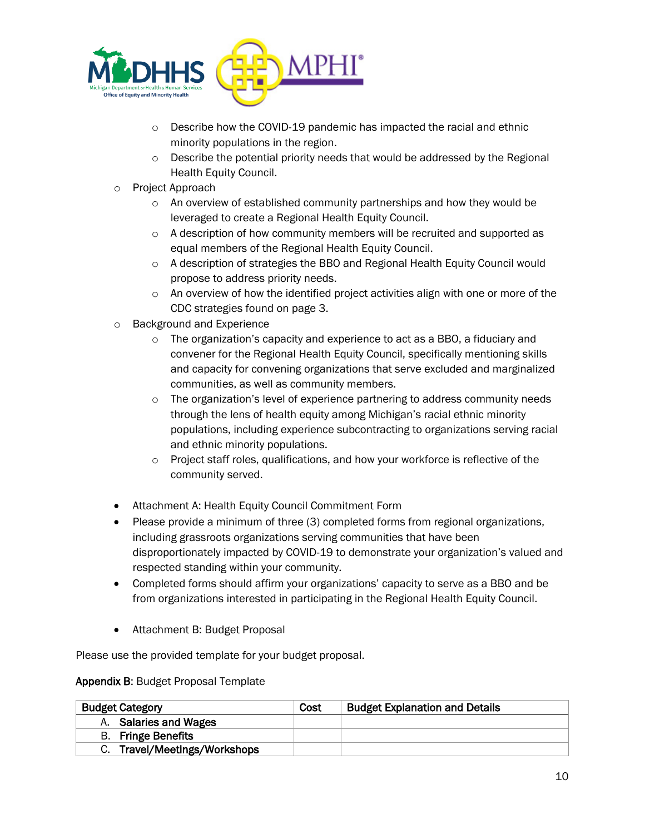

- o Describe how the COVID-19 pandemic has impacted the racial and ethnic minority populations in the region.
- $\circ$  Describe the potential priority needs that would be addressed by the Regional Health Equity Council.
- o Project Approach
	- o An overview of established community partnerships and how they would be leveraged to create a Regional Health Equity Council.
	- $\circ$  A description of how community members will be recruited and supported as equal members of the Regional Health Equity Council.
	- o A description of strategies the BBO and Regional Health Equity Council would propose to address priority needs.
	- $\circ$  An overview of how the identified project activities align with one or more of the CDC strategies found on page 3.
- o Background and Experience
	- $\circ$  The organization's capacity and experience to act as a BBO, a fiduciary and convener for the Regional Health Equity Council, specifically mentioning skills and capacity for convening organizations that serve excluded and marginalized communities, as well as community members.
	- o The organization's level of experience partnering to address community needs through the lens of health equity among Michigan's racial ethnic minority populations, including experience subcontracting to organizations serving racial and ethnic minority populations.
	- o Project staff roles, qualifications, and how your workforce is reflective of the community served.
- Attachment A: Health Equity Council Commitment Form
- Please provide a minimum of three (3) completed forms from regional organizations, including grassroots organizations serving communities that have been disproportionately impacted by COVID-19 to demonstrate your organization's valued and respected standing within your community.
- Completed forms should affirm your organizations' capacity to serve as a BBO and be from organizations interested in participating in the Regional Health Equity Council.
- Attachment B: Budget Proposal

Please use the provided template for your budget proposal.

## Appendix B: Budget Proposal Template

| <b>Budget Category</b>       | Cost | <b>Budget Explanation and Details</b> |
|------------------------------|------|---------------------------------------|
| A. Salaries and Wages        |      |                                       |
| <b>B.</b> Fringe Benefits    |      |                                       |
| C. Travel/Meetings/Workshops |      |                                       |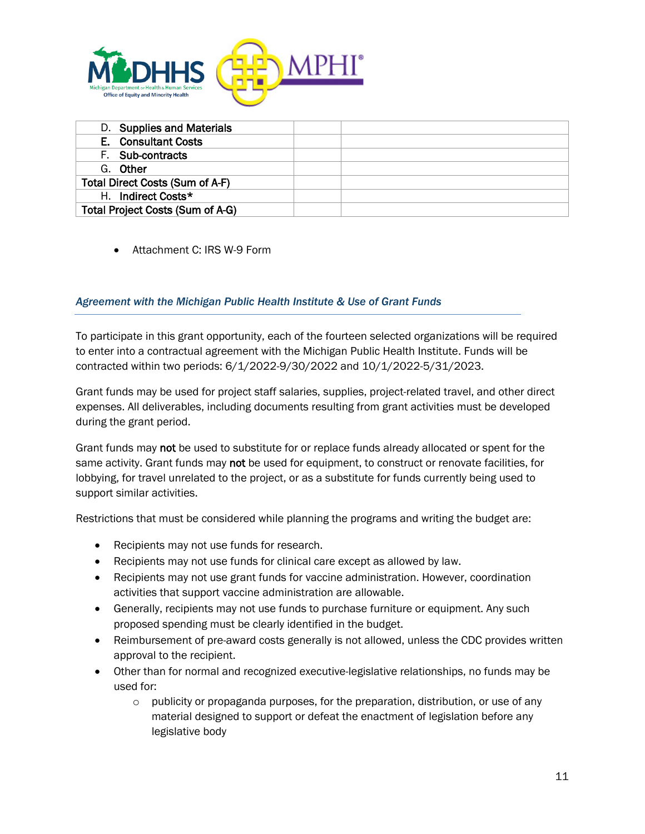

| D. Supplies and Materials        |  |
|----------------------------------|--|
| E. Consultant Costs              |  |
| F. Sub-contracts                 |  |
| G. Other                         |  |
| Total Direct Costs (Sum of A-F)  |  |
| H. Indirect Costs*               |  |
| Total Project Costs (Sum of A-G) |  |

• Attachment C: IRS W-9 Form

## *Agreement with the Michigan Public Health Institute & Use of Grant Funds*

To participate in this grant opportunity, each of the fourteen selected organizations will be required to enter into a contractual agreement with the Michigan Public Health Institute. Funds will be contracted within two periods: 6/1/2022-9/30/2022 and 10/1/2022-5/31/2023.

Grant funds may be used for project staff salaries, supplies, project-related travel, and other direct expenses. All deliverables, including documents resulting from grant activities must be developed during the grant period.

Grant funds may not be used to substitute for or replace funds already allocated or spent for the same activity. Grant funds may not be used for equipment, to construct or renovate facilities, for lobbying, for travel unrelated to the project, or as a substitute for funds currently being used to support similar activities.

Restrictions that must be considered while planning the programs and writing the budget are:

- Recipients may not use funds for research.
- Recipients may not use funds for clinical care except as allowed by law.
- Recipients may not use grant funds for vaccine administration. However, coordination activities that support vaccine administration are allowable.
- Generally, recipients may not use funds to purchase furniture or equipment. Any such proposed spending must be clearly identified in the budget.
- Reimbursement of pre-award costs generally is not allowed, unless the CDC provides written approval to the recipient.
- Other than for normal and recognized executive-legislative relationships, no funds may be used for:
	- $\circ$  publicity or propaganda purposes, for the preparation, distribution, or use of any material designed to support or defeat the enactment of legislation before any legislative body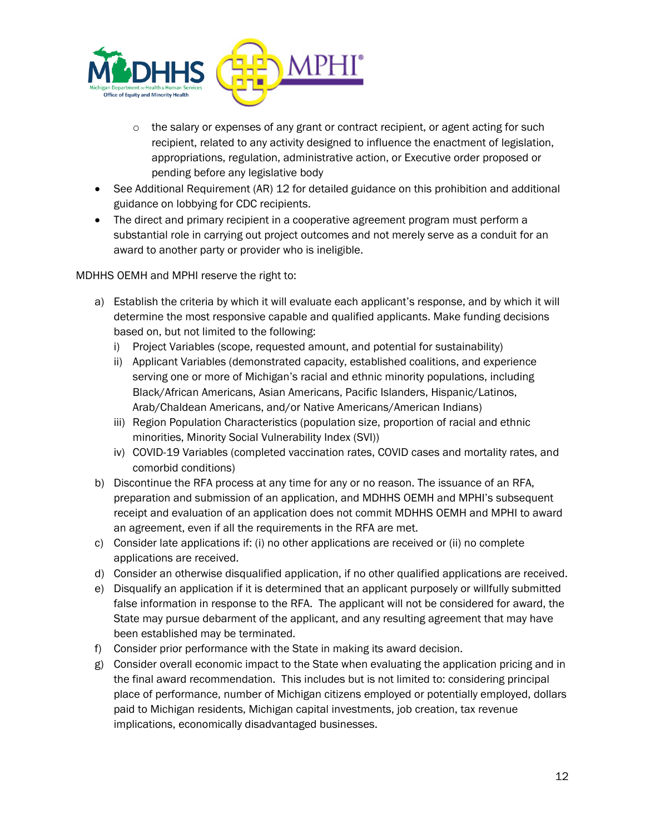

- $\circ$  the salary or expenses of any grant or contract recipient, or agent acting for such recipient, related to any activity designed to influence the enactment of legislation, appropriations, regulation, administrative action, or Executive order proposed or pending before any legislative body
- See Additional Requirement (AR) 12 for detailed guidance on this prohibition and additional guidance on lobbying for CDC recipients.
- The direct and primary recipient in a cooperative agreement program must perform a substantial role in carrying out project outcomes and not merely serve as a conduit for an award to another party or provider who is ineligible.

MDHHS OEMH and MPHI reserve the right to:

- a) Establish the criteria by which it will evaluate each applicant's response, and by which it will determine the most responsive capable and qualified applicants. Make funding decisions based on, but not limited to the following:
	- i) Project Variables (scope, requested amount, and potential for sustainability)
	- ii) Applicant Variables (demonstrated capacity, established coalitions, and experience serving one or more of Michigan's racial and ethnic minority populations, including Black/African Americans, Asian Americans, Pacific Islanders, Hispanic/Latinos, Arab/Chaldean Americans, and/or Native Americans/American Indians)
	- iii) Region Population Characteristics (population size, proportion of racial and ethnic minorities, Minority Social Vulnerability Index (SVI))
	- iv) COVID-19 Variables (completed vaccination rates, COVID cases and mortality rates, and comorbid conditions)
- b) Discontinue the RFA process at any time for any or no reason. The issuance of an RFA, preparation and submission of an application, and MDHHS OEMH and MPHI's subsequent receipt and evaluation of an application does not commit MDHHS OEMH and MPHI to award an agreement, even if all the requirements in the RFA are met.
- c) Consider late applications if: (i) no other applications are received or (ii) no complete applications are received.
- d) Consider an otherwise disqualified application, if no other qualified applications are received.
- e) Disqualify an application if it is determined that an applicant purposely or willfully submitted false information in response to the RFA. The applicant will not be considered for award, the State may pursue debarment of the applicant, and any resulting agreement that may have been established may be terminated.
- f) Consider prior performance with the State in making its award decision.
- g) Consider overall economic impact to the State when evaluating the application pricing and in the final award recommendation. This includes but is not limited to: considering principal place of performance, number of Michigan citizens employed or potentially employed, dollars paid to Michigan residents, Michigan capital investments, job creation, tax revenue implications, economically disadvantaged businesses.